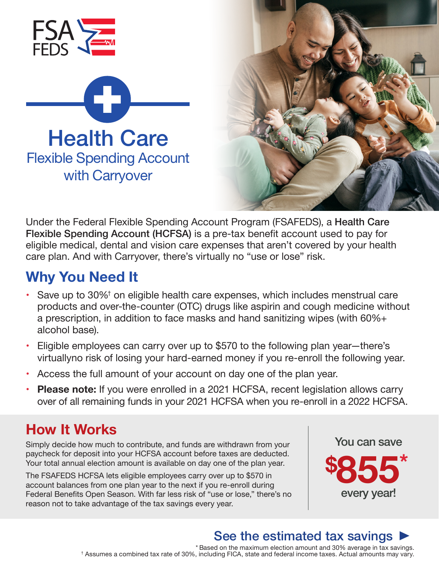



Under the Federal Flexible Spending Account Program (FSAFEDS), a Health Care Flexible Spending Account (HCFSA) is a pre-tax benefit account used to pay for eligible medical, dental and vision care expenses that aren't covered by your health care plan. And with Carryover, there's virtually no "use or lose" risk.

#### **Why You Need It**

- Save up to 30%<sup>†</sup> on eligible health care expenses, which includes menstrual care products and over-the-counter (OTC) drugs like aspirin and cough medicine without a prescription, in addition to face masks and hand sanitizing wipes (with 60%+ alcohol base).
- Eligible employees can carry over up to \$570 to the following plan year—there's virtuallyno risk of losing your hard-earned money if you re-enroll the following year.
- Access the full amount of your account on day one of the plan year.
- **• Please note:** If you were enrolled in a 2021 HCFSA, recent legislation allows carry over of all remaining funds in your 2021 HCFSA when you re-enroll in a 2022 HCFSA.

## **How It Works**

Simply decide how much to contribute, and funds are withdrawn from your paycheck for deposit into your HCFSA account before taxes are deducted. Your total annual election amount is available on day one of the plan year.

The FSAFEDS HCFSA lets eligible employees carry over up to \$570 in account balances from one plan year to the next if you re-enroll during Federal Benefits Open Season. With far less risk of "use or lose," there's no reason not to take advantage of the tax savings every year.



# See the estimated tax savings  $\blacktriangleright$

\* Based on the maximum election amount and 30% average in tax savings. † Assumes a combined tax rate of 30%, including FICA, state and federal income taxes. Actual amounts may vary.